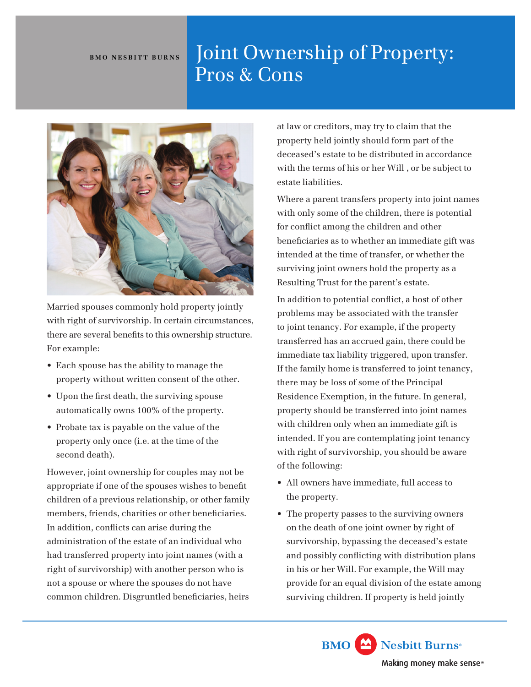## BMO NESBITT BURNS | Joint Ownership of Property: Pros & Cons



Married spouses commonly hold property jointly with right of survivorship. In certain circumstances, there are several benefts to this ownership structure. For example:

- Each spouse has the ability to manage the property without written consent of the other.
- Upon the frst death, the surviving spouse automatically owns 100% of the property.
- Probate tax is payable on the value of the property only once (i.e. at the time of the second death).

However, joint ownership for couples may not be appropriate if one of the spouses wishes to beneft children of a previous relationship, or other family members, friends, charities or other benefciaries. In addition, conficts can arise during the administration of the estate of an individual who had transferred property into joint names (with a right of survivorship) with another person who is not a spouse or where the spouses do not have common children. Disgruntled benefciaries, heirs

at law or creditors, may try to claim that the property held jointly should form part of the deceased's estate to be distributed in accordance with the terms of his or her Will , or be subject to estate liabilities.

Where a parent transfers property into joint names with only some of the children, there is potential for confict among the children and other benefciaries as to whether an immediate gift was intended at the time of transfer, or whether the surviving joint owners hold the property as a Resulting Trust for the parent's estate.

In addition to potential confict, a host of other problems may be associated with the transfer to joint tenancy. For example, if the property transferred has an accrued gain, there could be immediate tax liability triggered, upon transfer. If the family home is transferred to joint tenancy, there may be loss of some of the Principal Residence Exemption, in the future. In general, property should be transferred into joint names with children only when an immediate gift is intended. If you are contemplating joint tenancy with right of survivorship, you should be aware of the following:

- All owners have immediate, full access to the property.
- The property passes to the surviving owners on the death of one joint owner by right of survivorship, bypassing the deceased's estate and possibly conficting with distribution plans in his or her Will. For example, the Will may provide for an equal division of the estate among surviving children. If property is held jointly

Nesbitt Burns<sup>®</sup> **BMO** Making money make sense®